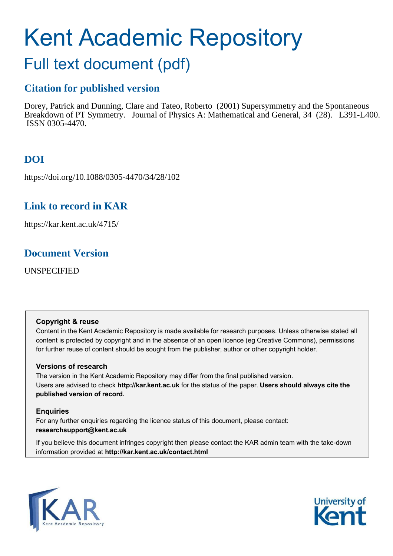# <span id="page-0-0"></span>Kent Academic Repository

## Full text document (pdf)

## **Citation for published version**

Dorey, Patrick and Dunning, Clare and Tateo, Roberto (2001) Supersymmetry and the Spontaneous Breakdown of PT Symmetry. Journal of Physics A: Mathematical and General, 34 (28). L391-L400. ISSN 0305-4470.

## **DOI**

https://doi.org/10.1088/0305-4470/34/28/102

## **Link to record in KAR**

https://kar.kent.ac.uk/4715/

## **Document Version**

UNSPECIFIED

#### **Copyright & reuse**

Content in the Kent Academic Repository is made available for research purposes. Unless otherwise stated all content is protected by copyright and in the absence of an open licence (eg Creative Commons), permissions for further reuse of content should be sought from the publisher, author or other copyright holder.

#### **Versions of research**

The version in the Kent Academic Repository may differ from the final published version. Users are advised to check **http://kar.kent.ac.uk** for the status of the paper. **Users should always cite the published version of record.**

#### **Enquiries**

For any further enquiries regarding the licence status of this document, please contact: **researchsupport@kent.ac.uk**

If you believe this document infringes copyright then please contact the KAR admin team with the take-down information provided at **http://kar.kent.ac.uk/contact.html**



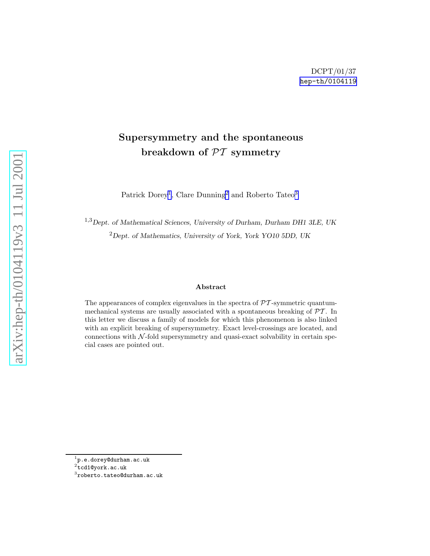### <span id="page-1-0"></span>Supersymmetry and the spontaneous breakdown of PT symmetry

Patrick Dorey<sup>[1](#page-0-0)</sup>, Clare Dunning<sup>[2](#page-0-0)</sup> and Roberto Tateo<sup>[3](#page-0-0)</sup>

<sup>1,3</sup>Dept. of Mathematical Sciences, University of Durham, Durham DH1 3LE, UK <sup>2</sup>Dept. of Mathematics, University of York, York YO10 5DD, UK

#### Abstract

The appearances of complex eigenvalues in the spectra of  $\mathcal{PT}$ -symmetric quantummechanical systems are usually associated with a spontaneous breaking of  $\mathcal{PT}$ . In this letter we discuss a family of models for which this phenomenon is also linked with an explicit breaking of supersymmetry. Exact level-crossings are located, and connections with  $N$ -fold supersymmetry and quasi-exact solvability in certain special cases are pointed out.

 $^{\rm 1}$ p.e.dorey@durham.ac.uk

 $^2$ tcd1@york.ac.uk

 $^3$ roberto.tateo@durham.ac.uk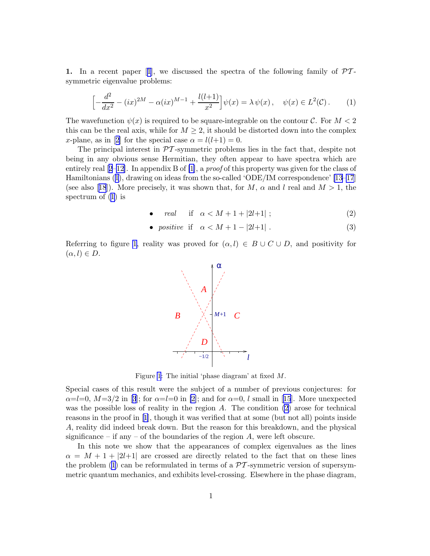<span id="page-2-0"></span>1.In a recent paper [[1](#page-9-0)], we discussed the spectra of the following family of  $\mathcal{P}\mathcal{T}$ symmetric eigenvalue problems:

$$
\left[ -\frac{d^2}{dx^2} - (ix)^{2M} - \alpha(ix)^{M-1} + \frac{l(l+1)}{x^2} \right] \psi(x) = \lambda \psi(x), \quad \psi(x) \in L^2(\mathcal{C}).\tag{1}
$$

The wavefunction  $\psi(x)$  is required to be square-integrable on the contour C. For  $M < 2$ this can be the real axis, while for  $M \geq 2$ , it should be distorted down into the complex x-plane,as in [[2](#page-9-0)] for the special case  $\alpha = l(l+1) = 0$ .

The principal interest in  $\mathcal{P}\mathcal{T}$ -symmetric problems lies in the fact that, despite not being in any obvious sense Hermitian, they often appear to have spectra which are entirelyreal  $[2-12]$  $[2-12]$  $[2-12]$  $[2-12]$ . In appendix B of  $[1]$ , a proof of this property was given for the class of Hamiltonians([1](#page-1-0)), drawing on ideas from the so-called 'ODE/IM correspondence' [\[13](#page-9-0)[–17](#page-10-0)] (seealso [[18](#page-10-0)]). More precisely, it was shown that, for M,  $\alpha$  and l real and  $M > 1$ , the spectrum of([1](#page-1-0)) is

• *real* if 
$$
\alpha < M + 1 + |2l+1|
$$
; (2)

• *positive* if  $\alpha < M + 1 - |2l+1|$ . (3)

Referring to figure [1,](#page-1-0) reality was proved for  $(\alpha, l) \in B \cup C \cup D$ , and positivity for  $(\alpha, l) \in D$ .



Figure [1](#page-1-0): The initial 'phase diagram' at fixed M.

Special cases of this result were the subject of a number of previous conjectures: for  $\alpha=$ l=0, $M=3/2$  $M=3/2$  $M=3/2$  in [3]; for  $\alpha=$ l=0 in [\[2\]](#page-9-0); and for  $\alpha=0$ , l small in [[15](#page-9-0)]. More unexpected was the possible loss of reality in the region  $A$ . The condition  $(2)$  arose for technical reasons in the proof in[[1](#page-9-0)], though it was verified that at some (but not all) points inside A, reality did indeed break down. But the reason for this breakdown, and the physical significance – if any – of the boundaries of the region  $A$ , were left obscure.

In this note we show that the appearances of complex eigenvalues as the lines  $\alpha = M + 1 + |2l+1|$  are crossed are directly related to the fact that on these lines theproblem ([1](#page-1-0)) can be reformulated in terms of a  $\mathcal{PT}$ -symmetric version of supersymmetric quantum mechanics, and exhibits level-crossing. Elsewhere in the phase diagram,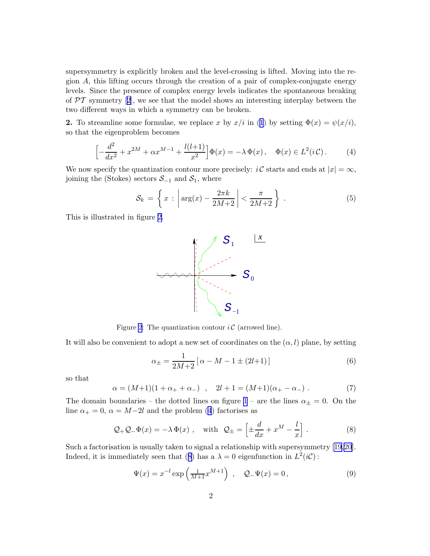<span id="page-3-0"></span>supersymmetry is explicitly broken and the level-crossing is lifted. Moving into the region A, this lifting occurs through the creation of a pair of complex-conjugate energy levels. Since the presence of complex energy levels indicates the spontaneous breaking of $\mathcal{PT}$  symmetry [[2](#page-9-0)], we see that the model shows an interesting interplay between the two different ways in which a symmetry can be broken.

**2.**To streamline some formulae, we replace x by  $x/i$  in ([1](#page-1-0)) by setting  $\Phi(x) = \psi(x/i)$ , so that the eigenproblem becomes

$$
\left[ -\frac{d^2}{dx^2} + x^{2M} + \alpha x^{M-1} + \frac{l(l+1)}{x^2} \right] \Phi(x) = -\lambda \Phi(x), \quad \Phi(x) \in L^2(i\mathcal{C}).\tag{4}
$$

We now specify the quantization contour more precisely:  $i\mathcal{C}$  starts and ends at  $|x| = \infty$ , joining the (Stokes) sectors  $S_{-1}$  and  $S_1$ , where

$$
\mathcal{S}_k = \left\{ x : \left| \arg(x) - \frac{2\pi k}{2M + 2} \right| < \frac{\pi}{2M + 2} \right\} \,. \tag{5}
$$

This is illustrated in figure [2](#page-2-0).



Figure [2](#page-2-0): The quantization contour  $i\mathcal{C}$  (arrowed line).

It will also be convenient to adopt a new set of coordinates on the  $(\alpha, l)$  plane, by setting

$$
\alpha_{\pm} = \frac{1}{2M+2} \left[ \alpha - M - 1 \pm (2l+1) \right] \tag{6}
$$

so that

$$
\alpha = (M+1)(1+\alpha_{+}+\alpha_{-}) \quad , \quad 2l+1 = (M+1)(\alpha_{+}-\alpha_{-}) \; . \tag{7}
$$

The domain boundaries – the dotted lines on figure [1](#page-1-0) – are the lines  $\alpha_{\pm} = 0$ . On the line  $\alpha_+ = 0, \ \alpha = M-2l$  and the problem [\(4](#page-2-0)) factorises as

$$
\mathcal{Q}_+ \mathcal{Q}_- \Phi(x) = -\lambda \Phi(x) , \quad \text{with} \quad \mathcal{Q}_\pm = \left[ \pm \frac{d}{dx} + x^M - \frac{l}{x} \right] . \tag{8}
$$

Such a factorisation is usually taken to signal a relationship with supersymmetry[[19,20](#page-10-0)]. Indeed,it is immediately seen that ([8](#page-2-0)) has a  $\lambda = 0$  eigenfunction in  $L^2(i\mathcal{C})$ :

$$
\Psi(x) = x^{-l} \exp\left(\frac{1}{M+1} x^{M+1}\right) , \quad Q_- \Psi(x) = 0 , \tag{9}
$$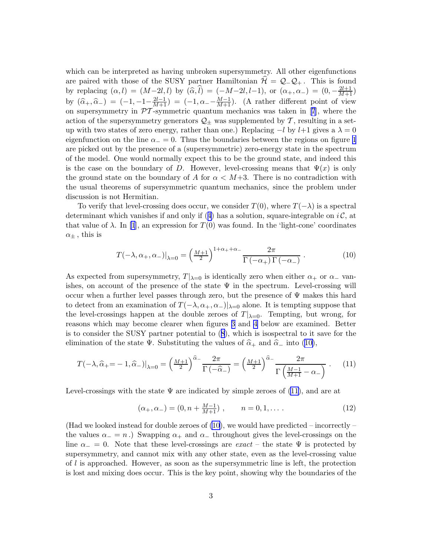<span id="page-4-0"></span>which can be interpreted as having unbroken supersymmetry. All other eigenfunctions are paired with those of the SUSY partner Hamiltonian  $\mathcal{H} = \mathcal{Q}_-\mathcal{Q}_+$ . This is found by replacing  $(\alpha, l) = (M - 2l, l)$  by  $(\widehat{\alpha}, \widehat{l}) = (-M - 2l, l-1)$ , or  $(\alpha_+, \alpha_-) = (0, -\frac{2l+1}{M+1})$ by  $(\widehat{\alpha}_{+}, \widehat{\alpha}_{-}) = (-1, -1 - \frac{2l-1}{M+1}) = (-1, \alpha_{-} - \frac{M-1}{M+1})$ . (A rather different point of view onsupersymmetry in  $\mathcal{P}T$ -symmetric quantum mechanics was taken in [[7](#page-9-0)], where the action of the supersymmetry generators  $\mathcal{Q}_\pm$  was supplemented by T, resulting in a setup with two states of zero energy, rather than one.) Replacing  $-l$  by  $l+1$  gives a  $\lambda = 0$ eigenfunction on the line  $\alpha = 0$ . Thus the boundaries between the regions on figure [1](#page-1-0) are picked out by the presence of a (supersymmetric) zero-energy state in the spectrum of the model. One would normally expect this to be the ground state, and indeed this is the case on the boundary of D. However, level-crossing means that  $\Psi(x)$  is only the ground state on the boundary of A for  $\alpha < M+3$ . There is no contradiction with the usual theorems of supersymmetric quantum mechanics, since the problem under discussion is not Hermitian.

To verify that level-crossing does occur, we consider  $T(0)$ , where  $T(-\lambda)$  is a spectral determinantwhich vanishes if and only if ([4](#page-2-0)) has a solution, square-integrable on  $i\mathcal{C}$ , at that value of  $\lambda$ . In [\[1](#page-9-0)], an expression for  $T(0)$  was found. In the 'light-cone' coordinates  $\alpha_{\pm}$ , this is

$$
T(-\lambda, \alpha_+, \alpha_-)|_{\lambda=0} = \left(\frac{M+1}{2}\right)^{1+\alpha_+ + \alpha_-} \frac{2\pi}{\Gamma(-\alpha_+) \Gamma(-\alpha_-)}.
$$
 (10)

As expected from supersymmetry,  $T|_{\lambda=0}$  is identically zero when either  $\alpha_+$  or  $\alpha_-$  vanishes, on account of the presence of the state  $\Psi$  in the spectrum. Level-crossing will occur when a further level passes through zero, but the presence of  $\Psi$  makes this hard to detect from an examination of  $T(-\lambda, \alpha_+, \alpha_-)|_{\lambda=0}$  alone. It is tempting suppose that the level-crossings happen at the double zeroes of  $T|_{\lambda=0}$ . Tempting, but wrong, for reasons which may become clearer when figures 3 and [4](#page-5-0) below are examined. Better is to consider the SUSY partner potential to([8](#page-2-0)), which is isospectral to it save for the eliminationof the state Ψ. Substituting the values of  $\hat{\alpha}_+$  and  $\hat{\alpha}_-$  into ([10\)](#page-3-0),

$$
T(-\lambda, \widehat{\alpha}_+ = -1, \widehat{\alpha}_-)|_{\lambda=0} = \left(\frac{M+1}{2}\right)^{\widehat{\alpha}_-} \frac{2\pi}{\Gamma(-\widehat{\alpha}_-)} = \left(\frac{M+1}{2}\right)^{\widehat{\alpha}_-} \frac{2\pi}{\Gamma\left(\frac{M-1}{M+1} - \alpha_-\right)} . \tag{11}
$$

Level-crossings with the state  $\Psi$  are indicated by simple zeroes of [\(11\)](#page-3-0), and are at

$$
(\alpha_+, \alpha_-) = (0, n + \frac{M-1}{M+1}), \qquad n = 0, 1, \dots
$$
 (12)

(Had we looked instead for double zeroes of  $(10)$ , we would have predicted – incorrectly – the values  $\alpha_$  = n.) Swapping  $\alpha_+$  and  $\alpha_-$  throughout gives the level-crossings on the line  $\alpha_-=0$ . Note that these level-crossings are exact – the state  $\Psi$  is protected by supersymmetry, and cannot mix with any other state, even as the level-crossing value of l is approached. However, as soon as the supersymmetric line is left, the protection is lost and mixing does occur. This is the key point, showing why the boundaries of the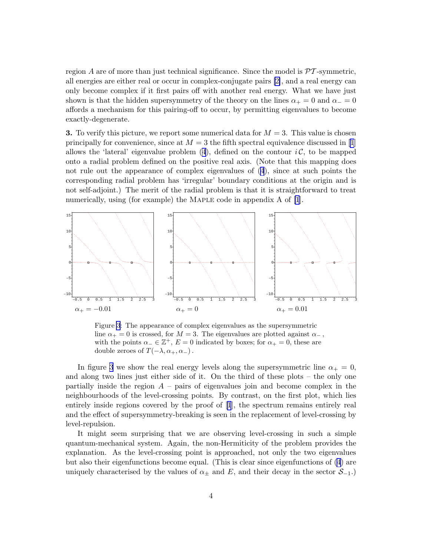<span id="page-5-0"></span>region A are of more than just technical significance. Since the model is  $\mathcal{P}T$ -symmetric, all energies are either real or occur in complex-conjugate pairs [\[2\]](#page-9-0), and a real energy can only become complex if it first pairs off with another real energy. What we have just shown is that the hidden supersymmetry of the theory on the lines  $\alpha_+ = 0$  and  $\alpha_- = 0$ affords a mechanism for this pairing-off to occur, by permitting eigenvalues to become exactly-degenerate.

**3.** To verify this picture, we report some numerical data for  $M = 3$ . This value is chosen principallyfor convenience, since at  $M = 3$  the fifth spectral equivalence discussed in [[1](#page-9-0)] allowsthe 'lateral' eigenvalue problem  $(4)$  $(4)$  $(4)$ , defined on the contour  $i\mathcal{C}$ , to be mapped onto a radial problem defined on the positive real axis. (Note that this mapping does not rule out the appearance of complex eigenvalues of [\(4](#page-2-0)), since at such points the corresponding radial problem has 'irregular' boundary conditions at the origin and is not self-adjoint.) The merit of the radial problem is that it is straightforward to treat numerically, using (for example) the MAPLE code in appendix A of [\[1](#page-9-0)].



Figure [3](#page-4-0): The appearance of complex eigenvalues as the supersymmetric line  $\alpha_+ = 0$  is crossed, for  $M = 3$ . The eigenvalues are plotted against  $\alpha_-$ , with the points  $\alpha_-\in \mathbb{Z}^+$ ,  $E=0$  indicated by boxes; for  $\alpha_+=0$ , these are double zeroes of  $T(-\lambda, \alpha_+, \alpha_-)$ .

In figure [3](#page-4-0) we show the real energy levels along the supersymmetric line  $\alpha_+ = 0$ , and along two lines just either side of it. On the third of these plots – the only one partially inside the region  $A$  – pairs of eigenvalues join and become complex in the neighbourhoods of the level-crossing points. By contrast, on the first plot, which lies entirely inside regions covered by the proof of [\[1](#page-9-0)], the spectrum remains entirely real and the effect of supersymmetry-breaking is seen in the replacement of level-crossing by level-repulsion.

It might seem surprising that we are observing level-crossing in such a simple quantum-mechanical system. Again, the non-Hermiticity of the problem provides the explanation. As the level-crossing point is approached, not only the two eigenvalues but also their eigenfunctions become equal. (This is clear since eigenfunctions of [\(4](#page-2-0)) are uniquely characterised by the values of  $\alpha_{\pm}$  and E, and their decay in the sector  $\mathcal{S}_{-1}$ .)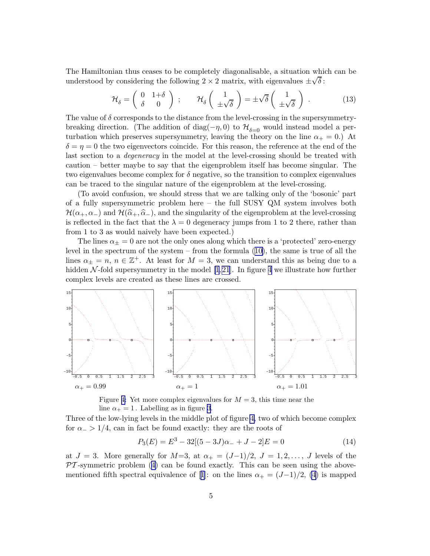<span id="page-6-0"></span>The Hamiltonian thus ceases to be completely diagonalisable, a situation which can be understood by considering the following  $2 \times 2$  matrix, with eigenvalues  $\pm \sqrt{\delta}$ :

$$
\mathcal{H}_{\delta} = \begin{pmatrix} 0 & 1+\delta \\ \delta & 0 \end{pmatrix} ; \qquad \mathcal{H}_{\delta} \begin{pmatrix} 1 \\ \pm \sqrt{\delta} \end{pmatrix} = \pm \sqrt{\delta} \begin{pmatrix} 1 \\ \pm \sqrt{\delta} \end{pmatrix} . \tag{13}
$$

The value of  $\delta$  corresponds to the distance from the level-crossing in the supersymmetrybreaking direction. (The addition of diag( $-\eta$ , 0) to  $\mathcal{H}_{\delta=0}$  would instead model a perturbation which preserves supersymmetry, leaving the theory on the line  $\alpha_+ = 0$ .) At  $\delta = \eta = 0$  the two eigenvectors coincide. For this reason, the reference at the end of the last section to a *degeneracy* in the model at the level-crossing should be treated with caution – better maybe to say that the eigenproblem itself has become singular. The two eigenvalues become complex for  $\delta$  negative, so the transition to complex eigenvalues can be traced to the singular nature of the eigenproblem at the level-crossing.

(To avoid confusion, we should stress that we are talking only of the 'bosonic' part of a fully supersymmetric problem here – the full SUSY QM system involves both  $\mathcal{H}(\alpha_+,\alpha_-)$  and  $\mathcal{H}(\widehat{\alpha}_+,\widehat{\alpha}_-)$ , and the singularity of the eigenproblem at the level-crossing is reflected in the fact that the  $\lambda = 0$  degeneracy jumps from 1 to 2 there, rather than from 1 to 3 as would naively have been expected.)

The lines  $\alpha_{+} = 0$  are not the only ones along which there is a 'protected' zero-energy level in the spectrum of the system – from the formula([10\)](#page-3-0), the same is true of all the lines  $\alpha_{\pm} = n, n \in \mathbb{Z}^+$ . At least for  $M = 3$ , we can understand this as being due to a hidden $N$ -fold supersymmetry in the model [[1](#page-9-0),[21](#page-10-0)]. In figure [4](#page-5-0) we illustrate how further complex levels are created as these lines are crossed.



Figure [4:](#page-5-0) Yet more complex eigenvalues for  $M = 3$ , this time near the line  $\alpha_+ = 1$ . Labelling as in figure [3](#page-4-0).

Three of the low-lying levels in the middle plot of figure [4,](#page-5-0) two of which become complex for  $\alpha$  > 1/4, can in fact be found exactly: they are the roots of

$$
P_3(E) = E^3 - 32[(5 - 3J)\alpha_{-} + J - 2]E = 0
$$
\n(14)

at  $J = 3$ . More generally for  $M=3$ , at  $\alpha_+ = (J-1)/2$ ,  $J = 1, 2, \ldots, J$  levels of the  $\mathcal{P}T$ -symmetricproblem ([4](#page-2-0)) can be found exactly. This can be seen using the above-mentionedfifth spectral equivalence of [[1](#page-9-0)]: on the lines  $\alpha_+ = (J-1)/2$ , [\(4\)](#page-2-0) is mapped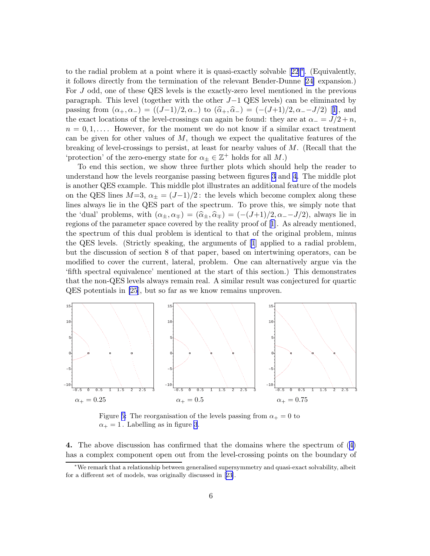<span id="page-7-0"></span>to the radial problem at a point where it is quasi-exactly solvable[[22](#page-10-0)][∗](#page-6-0) . (Equivalently, it follows directly from the termination of the relevant Bender-Dunne [\[24\]](#page-10-0) expansion.) For J odd, one of these QES levels is the exactly-zero level mentioned in the previous paragraph. This level (together with the other J−1 QES levels) can be eliminated by passingfrom  $(\alpha_+, \alpha_-) = ((J-1)/2, \alpha_-)$  to  $(\hat{\alpha}_+, \hat{\alpha}_-) = (-(J+1)/2, \alpha_- - J/2)$  [[1\]](#page-9-0), and the exact locations of the level-crossings can again be found: they are at  $\alpha = J/2 + n$ ,  $n = 0, 1, \ldots$ . However, for the moment we do not know if a similar exact treatment can be given for other values of  $M$ , though we expect the qualitative features of the breaking of level-crossings to persist, at least for nearby values of M. (Recall that the 'protection' of the zero-energy state for  $\alpha_{\pm} \in \mathbb{Z}^+$  holds for all  $M$ .)

To end this section, we show three further plots which should help the reader to understand how the levels reorganise passing between figures [3](#page-4-0) and [4.](#page-5-0) The middle plot is another QES example. This middle plot illustrates an additional feature of the models on the QES lines  $M=3$ ,  $\alpha_{\pm}=(J-1)/2$ : the levels which become complex along these lines always lie in the QES part of the spectrum. To prove this, we simply note that the 'dual' problems, with  $(\alpha_{\pm}, \alpha_{\mp}) = (\widehat{\alpha}_{\pm}, \widehat{\alpha}_{\mp}) = (- (J+1)/2, \alpha_{-} - J/2)$ , always lie in regions of the parameter space covered by the reality proof of[[1](#page-9-0)]. As already mentioned, the spectrum of this dual problem is identical to that of the original problem, minus the QES levels. (Strictly speaking, the arguments of [\[1](#page-9-0)] applied to a radial problem, but the discussion of section 8 of that paper, based on intertwining operators, can be modified to cover the current, lateral, problem. One can alternatively argue via the 'fifth spectral equivalence' mentioned at the start of this section.) This demonstrates that the non-QES levels always remain real. A similar result was conjectured for quartic QES potentials in [\[25](#page-10-0)], but so far as we know remains unproven.



Figure [5:](#page-6-0) The reorganisation of the levels passing from  $\alpha_+ = 0$  to  $\alpha_+ = 1$ . Labelling as in figure [3](#page-4-0).

4. The above discussion has confirmed that the domains where the spectrum of([4](#page-2-0)) has a complex component open out from the level-crossing points on the boundary of

<sup>∗</sup>We remark that a relationship between generalised supersymmetry and quasi-exact solvability, albeit for a different set of models, was originally discussed in[[23](#page-10-0)].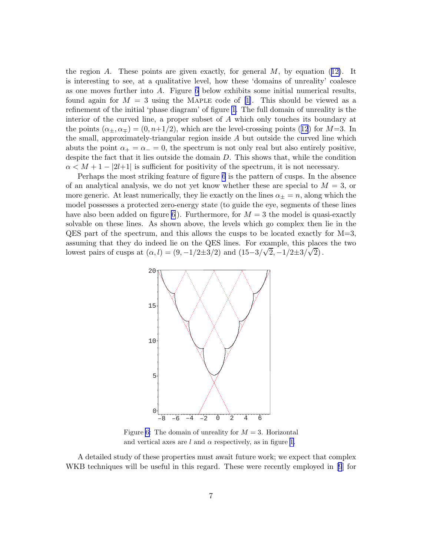theregion A. These points are given exactly, for general  $M$ , by equation ([12\)](#page-3-0). It is interesting to see, at a qualitative level, how these 'domains of unreality' coalesce as one moves further into A. Figure [6](#page-7-0) below exhibits some initial numerical results, found again for  $M = 3$  using the MAPLE code of [\[1\]](#page-9-0). This should be viewed as a refinement of the initial 'phase diagram' of figure [1.](#page-1-0) The full domain of unreality is the interior of the curved line, a proper subset of A which only touches its boundary at thepoints  $(\alpha_{\pm}, \alpha_{\mp}) = (0, n+1/2)$ , which are the level-crossing points ([12](#page-3-0)) for M=3. In the small, approximately-triangular region inside A but outside the curved line which abuts the point  $\alpha_+ = \alpha_- = 0$ , the spectrum is not only real but also entirely positive, despite the fact that it lies outside the domain D. This shows that, while the condition  $\alpha < M + 1 - |2l+1|$  is sufficient for positivity of the spectrum, it is not necessary.

Perhaps the most striking feature of figure [6](#page-7-0) is the pattern of cusps. In the absence of an analytical analysis, we do not yet know whether these are special to  $M = 3$ , or more generic. At least numerically, they lie exactly on the lines  $\alpha_{\pm} = n$ , along which the model possesses a protected zero-energy state (to guide the eye, segments of these lines have also been added on figure [6](#page-7-0)). Furthermore, for  $M = 3$  the model is quasi-exactly solvable on these lines. As shown above, the levels which go complex then lie in the  $QES$  part of the spectrum, and this allows the cusps to be located exactly for  $M=3$ , assuming that they do indeed lie on the QES lines. For example, this places the two lowest pairs of cusps at  $(\alpha, l) = (9, -1/2 \pm 3/2)$  and  $(15-3/\sqrt{2}, -1/2 \pm 3/\sqrt{2})$ .



Figure [6:](#page-7-0) The domain of unreality for  $M = 3$ . Horizontal and vertical axes are  $l$  and  $\alpha$  respectively, as in figure [1](#page-1-0).

A detailed study of these properties must await future work; we expect that complex WKB techniques will be useful in this regard. These were recently employed in [\[9](#page-9-0)] for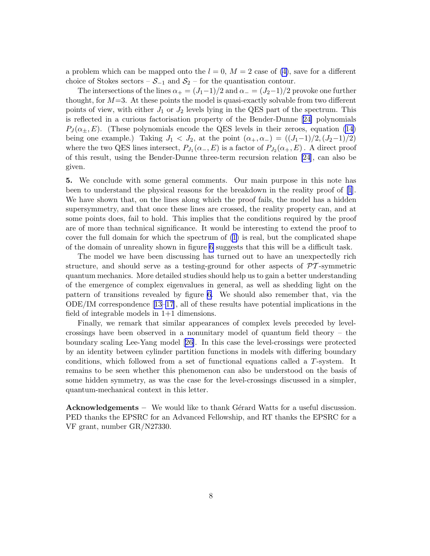<span id="page-9-0"></span>a problem which can be mapped onto the  $l = 0$ ,  $M = 2$  case of [\(4\)](#page-2-0), save for a different choice of Stokes sectors –  $S_{-1}$  and  $S_2$  – for the quantisation contour.

The intersections of the lines  $\alpha_+ = (J_1-1)/2$  and  $\alpha_- = (J_2-1)/2$  provoke one further thought, for  $M=3$ . At these points the model is quasi-exactly solvable from two different points of view, with either  $J_1$  or  $J_2$  levels lying in the QES part of the spectrum. This is reflected in a curious factorisation property of the Bender-Dunne[[24\]](#page-10-0) polynomials  $P_J(\alpha_{\pm},E)$ . (These polynomials encode the QES levels in their zeroes, equation [\(14](#page-5-0)) being one example.) Taking  $J_1 < J_2$ , at the point  $(\alpha_+, \alpha_-) = ((J_1-1)/2, (J_2-1)/2)$ where the two QES lines intersect,  $P_{J_1}(\alpha_-, E)$  is a factor of  $P_{J_2}(\alpha_+, E)$ . A direct proof of this result, using the Bender-Dunne three-term recursion relation [\[24](#page-10-0)], can also be given.

5. We conclude with some general comments. Our main purpose in this note has been to understand the physical reasons for the breakdown in the reality proof of [1]. We have shown that, on the lines along which the proof fails, the model has a hidden supersymmetry, and that once these lines are crossed, the reality property can, and at some points does, fail to hold. This implies that the conditions required by the proof are of more than technical significance. It would be interesting to extend the proof to cover the full domain for which the spectrum of [\(1\)](#page-1-0) is real, but the complicated shape of the domain of unreality shown in figure [6](#page-7-0) suggests that this will be a difficult task.

The model we have been discussing has turned out to have an unexpectedly rich structure, and should serve as a testing-ground for other aspects of  $\mathcal{PT}$ -symmetric quantum mechanics. More detailed studies should help us to gain a better understanding of the emergence of complex eigenvalues in general, as well as shedding light on the pattern of transitions revealed by figure [6.](#page-7-0) We should also remember that, via the ODE/IM correspondence [13[–17](#page-10-0)], all of these results have potential implications in the field of integrable models in 1+1 dimensions.

Finally, we remark that similar appearances of complex levels preceded by levelcrossings have been observed in a nonunitary model of quantum field theory – the boundary scaling Lee-Yang model[[26\]](#page-10-0). In this case the level-crossings were protected by an identity between cylinder partition functions in models with differing boundary conditions, which followed from a set of functional equations called a T-system. It remains to be seen whether this phenomenon can also be understood on the basis of some hidden symmetry, as was the case for the level-crossings discussed in a simpler, quantum-mechanical context in this letter.

Acknowledgements – We would like to thank Gérard Watts for a useful discussion. PED thanks the EPSRC for an Advanced Fellowship, and RT thanks the EPSRC for a VF grant, number GR/N27330.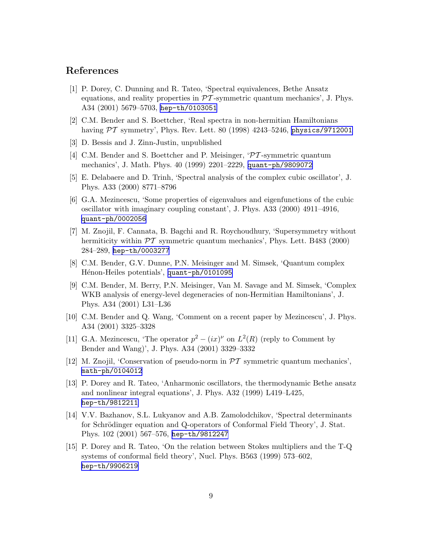#### <span id="page-10-0"></span>References

- [1] P. Dorey, C. Dunning and R. Tateo, 'Spectral equivalences, Bethe Ansatz equations, and reality properties in  $\mathcal{P}\mathcal{T}$ -symmetric quantum mechanics', J. Phys. A34 (2001) 5679–5703, [hep-th/0103051](http://arXiv.org/abs/hep-th/0103051)
- [2] C.M. Bender and S. Boettcher, 'Real spectra in non-hermitian Hamiltonians having  $\mathcal{PT}$  symmetry', Phys. Rev. Lett. 80 (1998) 4243–5246, [physics/9712001](http://arXiv.org/abs/physics/9712001)
- [3] D. Bessis and J. Zinn-Justin, unpublished
- [4] C.M. Bender and S. Boettcher and P. Meisinger, 'PT -symmetric quantum mechanics', J. Math. Phys. 40 (1999) 2201–2229, [quant-ph/9809072](http://arXiv.org/abs/quant-ph/9809072)
- [5] E. Delabaere and D. Trinh, 'Spectral analysis of the complex cubic oscillator', J. Phys. A33 (2000) 8771–8796
- [6] G.A. Mezincescu, 'Some properties of eigenvalues and eigenfunctions of the cubic oscillator with imaginary coupling constant', J. Phys. A33 (2000) 4911–4916, [quant-ph/0002056](http://arXiv.org/abs/quant-ph/0002056)
- [7] M. Znojil, F. Cannata, B. Bagchi and R. Roychoudhury, 'Supersymmetry without hermiticity within  $\mathcal{PT}$  symmetric quantum mechanics', Phys. Lett. B483 (2000) 284–289, [hep-th/0003277](http://arXiv.org/abs/hep-th/0003277)
- [8] C.M. Bender, G.V. Dunne, P.N. Meisinger and M. Simsek, 'Quantum complex Hénon-Heiles potentials', [quant-ph/0101095](http://arXiv.org/abs/quant-ph/0101095)
- [9] C.M. Bender, M. Berry, P.N. Meisinger, Van M. Savage and M. Simsek, 'Complex WKB analysis of energy-level degeneracies of non-Hermitian Hamiltonians', J. Phys. A34 (2001) L31–L36
- [10] C.M. Bender and Q. Wang, 'Comment on a recent paper by Mezincescu', J. Phys. A34 (2001) 3325–3328
- [11] G.A. Mezincescu, 'The operator  $p^2 (ix)^{\nu}$  on  $L^2(R)$  (reply to Comment by Bender and Wang)', J. Phys. A34 (2001) 3329–3332
- [12] M. Znojil, 'Conservation of pseudo-norm in  $\mathcal{PT}$  symmetric quantum mechanics', [math-ph/0104012](http://arXiv.org/abs/math-ph/0104012)
- [13] P. Dorey and R. Tateo, 'Anharmonic oscillators, the thermodynamic Bethe ansatz and nonlinear integral equations', J. Phys. A32 (1999) L419–L425, [hep-th/9812211](http://arXiv.org/abs/hep-th/9812211)
- [14] V.V. Bazhanov, S.L. Lukyanov and A.B. Zamolodchikov, 'Spectral determinants for Schrödinger equation and Q-operators of Conformal Field Theory', J. Stat. Phys. 102 (2001) 567–576, [hep-th/9812247](http://arXiv.org/abs/hep-th/9812247)
- [15] P. Dorey and R. Tateo, 'On the relation between Stokes multipliers and the T-Q systems of conformal field theory', Nucl. Phys. B563 (1999) 573–602, [hep-th/9906219](http://arXiv.org/abs/hep-th/9906219)